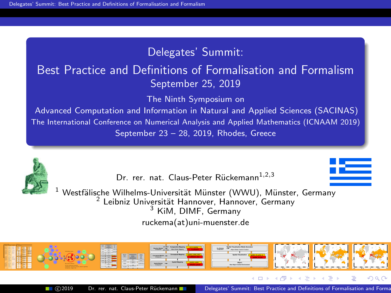# Delegates' Summit:

# Best Practice and Definitions of Formalisation and Formalism September 25, 2019

The Ninth Symposium on

Advanced Computation and Information in Natural and Applied Sciences (SACINAS) The International Conference on Numerical Analysis and Applied Mathematics (ICNAAM 2019) September 23 – 28, 2019, Rhodes, Greece



Dr. rer. nat. Claus-Peter Rückemann<sup>1,2,3</sup>

<span id="page-0-0"></span>

 $^1$  Westfälische Wilhelms-Universität Münster (WWU), Münster, Germany  $^2$  Leibniz Universität Hannover, Hannover, Germany <sup>3</sup> KiM, DIMF, Germany [ruckema\(at\)uni-muenster.de](mailto:ruckema::replace_at_here::uni-muenster.de)

*Object Entity Analysis*

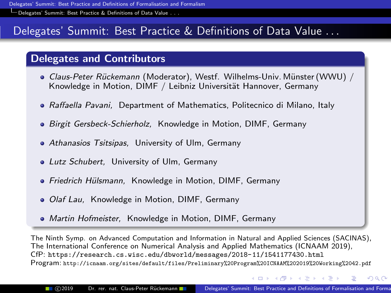[Delegates' Summit: Best Practice & Definitions of Data Value](#page-1-0) . . .

# Delegates' Summit: Best Practice & Definitions of Data Value . . .

# Delegates and Contributors

- Claus-Peter Rückemann (Moderator), Westf. Wilhelms-Univ. Münster (WWU) / Knowledge in Motion, DIMF / Leibniz Universität Hannover, Germany
- Raffaella Pavani, Department of Mathematics, Politecnico di Milano, Italy
- Birgit Gersbeck-Schierholz, Knowledge in Motion, DIMF, Germany
- **Athanasios Tsitsipas. University of Ulm, Germany**
- Lutz Schubert, University of Ulm, Germany
- Friedrich Hülsmann, Knowledge in Motion, DIMF, Germany
- *Olaf Lau*, Knowledge in Motion, DIMF, Germany
- Martin Hofmeister, Knowledge in Motion, DIMF, Germany

The Ninth Symp. on Advanced Computation and Information in Natural and Applied Sciences (SACINAS), The International Conference on Numerical Analysis and Applied Mathematics (ICNAAM 2019), CfP: <https://research.cs.wisc.edu/dbworld/messages/2018-11/1541177430.html> Program: <http://icnaam.org/sites/default/files/Preliminary%20Program%20ICNAAM%202019%20Working%2042.pdf>

∢ロト (何) (ヨ) (ヨ)

<span id="page-1-0"></span> $QQ$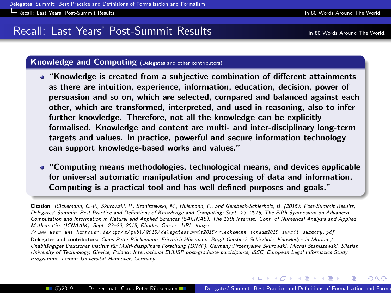# Recall: Last Years' Post-Summit Results In 80 World Around The World.

<span id="page-2-0"></span> $\Omega$ 

#### Knowledge and Computing (Delegates and other contributors)

- "Knowledge is created from a subjective combination of different attainments as there are intuition, experience, information, education, decision, power of persuasion and so on, which are selected, compared and balanced against each other, which are transformed, interpreted, and used in reasoning, also to infer further knowledge. Therefore, not all the knowledge can be explicitly formalised. Knowledge and content are multi- and inter-disciplinary long-term targets and values. In practice, powerful and secure information technology can support knowledge-based works and values."
- "Computing means methodologies, technological means, and devices applicable for universal automatic manipulation and processing of data and information. Computing is a practical tool and has well defined purposes and goals."

Citation: Rückemann, C.-P., Skurowski, P., Staniszewski, M., Hülsmann, F., and Gersbeck-Schierholz, B. (2015): Post-Summit Results, Delegates' Summit: Best Practice and Definitions of Knowledge and Computing; Sept. 23, 2015, The Fifth Symposium on Advanced Computation and Information in Natural and Applied Sciences (SACINAS), The 13th Internat. Conf. of Numerical Analysis and Applied Mathematics (ICNAAM), Sept. 23–29, 2015, Rhodes, Greece. URL: [http:](http://www.user.uni-hannover.de/cpr/x/publ/2015/delegatessummit2015/rueckemann_icnaam2015_summit_summary.pdf)

[// www. user. uni-hannover. de/ cpr/ x/ publ/ 2015/ delegatessummit2015/ rueckemann\\_ icnaam2015\\_ summit\\_ summary. pdf](http://www.user.uni-hannover.de/cpr/x/publ/2015/delegatessummit2015/rueckemann_icnaam2015_summit_summary.pdf)

Delegates and contributors: Claus-Peter Rückemann, Friedrich Hülsmann, Birgit Gersbeck-Schierholz, Knowledge in Motion / Unabhängiges Deutsches Institut für Multi-disziplinäre Forschung (DIMF), Germany ;Przemysław Skurowski, Michał Staniszewski, Silesian University of Technology, Gliwice, Poland; International EULISP post-graduate participants, ISSC, European Legal Informatics Study Programme, Leibniz Universität Hannover, Germany

∢ロト ∢何ト ∢きト ∢きト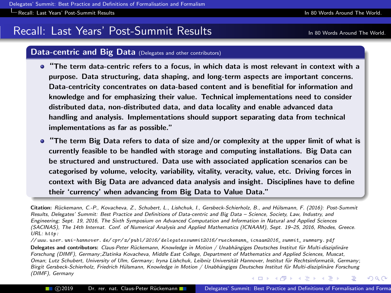[Recall: Last Years' Post-Summit Results](#page-3-0) In 80 Words Around The World.

# Recall: Last Years' Post-Summit Results In 80 World Around The World.

#### Data-centric and Big Data (Delegates and other contributors)

- "The term data-centric refers to a focus, in which data is most relevant in context with a purpose. Data structuring, data shaping, and long-term aspects are important concerns. Data-centricity concentrates on data-based content and is benefitial for information and knowledge and for emphasizing their value. Technical implementations need to consider distributed data, non-distributed data, and data locality and enable advanced data handling and analysis. Implementations should support separating data from technical implementations as far as possible."
- "The term Big Data refers to data of size and/or complexity at the upper limit of what is currently feasible to be handled with storage and computing installations. Big Data can be structured and unstructured. Data use with associated application scenarios can be categorised by volume, velocity, variability, vitality, veracity, value, etc. Driving forces in context with Big Data are advanced data analysis and insight. Disciplines have to define their 'currency' when advancing from Big Data to Value Data."

Citation: Rückemann, C.-P., Kovacheva, Z., Schubert, L., Lishchuk, I., Gersbeck-Schierholz, B., and Hülsmann, F. (2016): Post-Summit Results, Delegates' Summit: Best Practice and Definitions of Data-centric and Big Data – Science, Society, Law, Industry, and Engineering; Sept. 19, 2016, The Sixth Symposium on Advanced Computation and Information in Natural and Applied Sciences (SACINAS), The 14th Internat. Conf. of Numerical Analysis and Applied Mathematics (ICNAAM), Sept. 19–25, 2016, Rhodes, Greece. URL: [http:](http://www.user.uni-hannover.de/cpr/x/publ/2016/delegatessummit2016/rueckemann_icnaam2016_summit_summary.pdf)

[// www. user. uni-hannover. de/ cpr/ x/ publ/ 2016/ delegatessummit2016/ rueckemann\\_ icnaam2016\\_ summit\\_ summary. pdf](http://www.user.uni-hannover.de/cpr/x/publ/2016/delegatessummit2016/rueckemann_icnaam2016_summit_summary.pdf) Delegates and contributors: Claus-Peter Rückemann, Knowledge in Motion / Unabhängiges Deutsches Institut für Multi-disziplinäre Forschung (DIMF), Germany;Zlatinka Kovacheva, Middle East College, Department of Mathematics and Applied Sciences, Muscat, Oman; Lutz Schubert, University of Ulm, Germany; Iryna Lishchuk, Leibniz Universität Hannover, Institut für Rechtsinformatik, Germany; Birgit Gersbeck-Schierholz, Friedrich Hülsmann, Knowledge in Motion / Unabhängiges Deutsches Institut für Multi-disziplinäre Forschung (DIMF), Germany イロメ イ押メ イチメン

<span id="page-3-0"></span>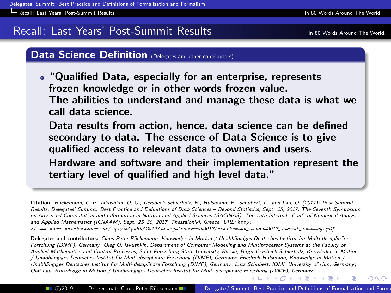[Recall: Last Years' Post-Summit Results](#page-4-0) In 80 Words Around The World.

# Recall: Last Years' Post-Summit Results In 80 World Around The World.

## Data Science Definition (Delegates and other contributors)

"Qualified Data, especially for an enterprise, represents frozen knowledge or in other words frozen value. The abilities to understand and manage these data is what we call data science.

Data results from action, hence, data science can be defined secondary to data. The essence of Data Science is to give qualified access to relevant data to owners and users.

Hardware and software and their implementation represent the tertiary level of qualified and high level data."

Citation: R¨uckemann, C.-P., Iakushkin, O. O., Gersbeck-Schierholz, B., H¨ulsmann, F., Schubert, L., and Lau, O. (2017): Post-Summit Results, Delegates' Summit: Best Practice and Definitions of Data Sciences – Beyond Statistics; Sept. 25, 2017, The Seventh Symposium on Advanced Computation and Information in Natural and Applied Sciences (SACINAS), The 15th Internat. Conf. of Numerical Analysis and Applied Mathematics (ICNAAM), Sept. 25–30, 2017, Thessaloniki, Greece. URL: [http:](http://www.user.uni-hannover.de/cpr/x/publ/2017/delegatessummit2017/rueckemann_icnaam2017_summit_summary.pdf) [// www. user. uni-hannover. de/ cpr/ x/ publ/ 2017/ delegatessummit2017/ rueckemann\\_ icnaam2017\\_ summit\\_ summary. pdf](http://www.user.uni-hannover.de/cpr/x/publ/2017/delegatessummit2017/rueckemann_icnaam2017_summit_summary.pdf)

Delegates and contributors: Claus-Peter Rückemann, Knowledge in Motion / Unabhängiges Deutsches Institut für Multi-disziplinäre Forschung (DIMF), Germany; Oleg O. Iakushkin, Department of Computer Modelling and Multiprocessor Systems at the Faculty of Applied Mathematics and Control Processes, Saint-Petersburg State University, Russia; Birgit Gersbeck-Schierholz, Knowledge in Motion / Unabhängiges Deutsches Institut für Multi-disziplinäre Forschung (DIMF), Germany; Friedrich Hülsmann, Knowledge in Motion / Unabhängiges Deutsches Institut für Multi-disziplinäre Forschung (DIMF), Germany; Lutz Schubert, IOMI, University of Ulm, Germany; Olaf Lau, Knowledge in Motion / Unabhängiges Deutsches Institut für Multi-disziplinäre F[orsch](#page-3-0)u[ng \(](#page-5-0)[DI](#page-3-0)[MF\),](#page-4-0) [G](#page-5-0)[erm](#page-3-0)[any](#page-4-0)[.](#page-5-0)

<span id="page-4-0"></span>- オーロー オーエー オーエー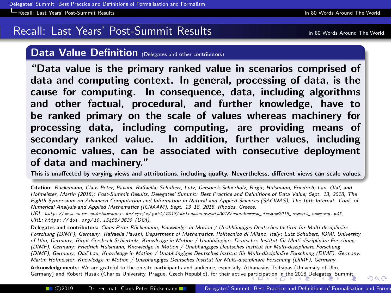[Recall: Last Years' Post-Summit Results](#page-5-0) In 80 Words Around The World.

# Recall: Last Years' Post-Summit Results In 80 World Around The World.

#### Data Value Definition (Delegates and other contributors)

"Data value is the primary ranked value in scenarios comprised of data and computing context. In general, processing of data, is the cause for computing. In consequence, data, including algorithms and other factual, procedural, and further knowledge, have to be ranked primary on the scale of values whereas machinery for processing data, including computing, are providing means of secondary ranked value. In addition, further values, including economic values, can be associated with consecutive deployment of data and machinery."

This is unaffected by varying views and attributions, including quality. Nevertheless, different views can scale values.

Citation: Rückemann, Claus-Peter; Pavani, Raffaella; Schubert, Lutz; Gersbeck-Schierholz, Birgit; Hülsmann, Friedrich; Lau, Olaf; and Hofmeister, Martin (2018): Post-Summit Results, Delegates' Summit: Best Practice and Definitions of Data Value; Sept. 13, 2018, The Eighth Symposium on Advanced Computation and Information in Natural and Applied Sciences (SACINAS), The 16th Internat. Conf. of Numerical Analysis and Applied Mathematics (ICNAAM), Sept. 13–18, 2018, Rhodos, Greece.

URL: [http: // www. user. uni-hannover. de/ cpr/ x/ publ/ 2018/ delegatessummit2018/ rueckemann\\_ icnaam2018\\_ summit\\_ summary. pdf](http://www.user.uni-hannover.de/cpr/x/publ/2018/delegatessummit2018/rueckemann_icnaam2018_summit_summary.pdf) , URL: [https: // doi. org/ 10. 15488/ 3639](https://doi.org/10.15488/3639) (DOI).

Delegates and contributors: Claus-Peter Rückemann, Knowledge in Motion / Unabhängiges Deutsches Institut für Multi-disziplinäre Forschung (DIMF), Germany; Raffaella Pavani, Department of Mathematics, Politecnico di Milano, Italy ; Lutz Schubert, IOMI, University of Ulm, Germany; Birgit Gersbeck-Schierholz, Knowledge in Motion / Unabhängiges Deutsches Institut für Multi-disziplinäre Forschung (DIMF), Germany; Friedrich Hülsmann, Knowledge in Motion / Unabhängiges Deutsches Institut für Multi-disziplinäre Forschung (DIMF), Germany; Olaf Lau, Knowledge in Motion / Unabhängiges Deutsches Institut für Multi-disziplinäre Forschung (DIMF), Germany. Martin Hofmeister, Knowledge in Motion / Unabhängiges Deutsches Institut für Multi-disziplinäre Forschung (DIMF), Germany.

Acknowledgements: We are grateful to the on-site participants and audience, especially, Athanasios Tsitsipas (University of Ulm, Germany) and Robert Husák (Charles University, Prague, Czech Republic), for their active [parti](#page-4-0)ci[pati](#page-6-0)[on](#page-4-0) [in t](#page-5-0)[he](#page-6-0) [20](#page-4-0)[18 D](#page-5-0)[ele](#page-6-0)[gat](#page-4-0)[es' S](#page-5-0)[u](#page-6-0)[mmit](#page-0-0)[.](#page-15-0)

<span id="page-5-0"></span> $QQ$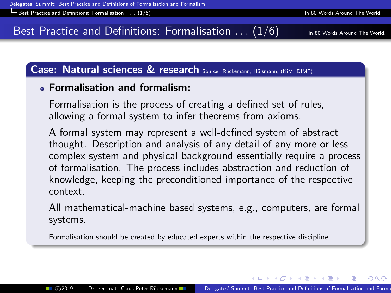# Best Practice and Definitions: Formalisation  $\ldots$  (1/6) In 80 Words Around The World.

<span id="page-6-0"></span>

## Case: Natural sciences & research Source: Rückemann, Hülsmann, (KiM, DIMF)

## Formalisation and formalism:

Formalisation is the process of creating a defined set of rules, allowing a formal system to infer theorems from axioms.

A formal system may represent a well-defined system of abstract thought. Description and analysis of any detail of any more or less complex system and physical background essentially require a process of formalisation. The process includes abstraction and reduction of knowledge, keeping the preconditioned importance of the respective context.

All mathematical-machine based systems, e.g., computers, are formal systems.

Formalisation should be created by educated experts within the respective discipline.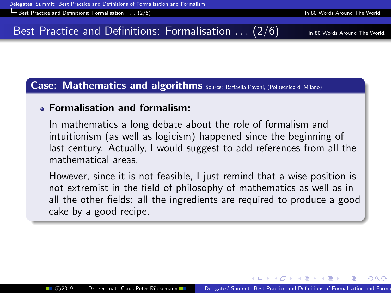$\Box$  Best Practice and Definitions: Formalisation . . . [\(2/6\) In 80 Words Around The World.](#page-7-0)

# Best Practice and Definitions: Formalisation  $\ldots$  (2/6)  $\overline{a}$  in 80 Words Around The World

Case: Mathematics and algorithms Source: Raffaella Pavani, (Politecnico di Milano)

## Formalisation and formalism:

In mathematics a long debate about the role of formalism and intuitionism (as well as logicism) happened since the beginning of last century. Actually, I would suggest to add references from all the mathematical areas.

However, since it is not feasible, I just remind that a wise position is not extremist in the field of philosophy of mathematics as well as in all the other fields: all the ingredients are required to produce a good cake by a good recipe.

<span id="page-7-0"></span>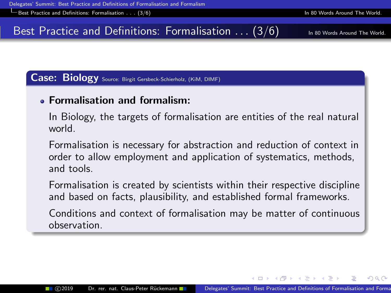Best Practice and Definitions: Formalisation . . . [\(3/6\) In 80 Words Around The World.](#page-8-0)

# Best Practice and Definitions: Formalisation  $\ldots$  (3/6) In 80 Words Around The World.

#### Case: Biology Source: Birgit Gersbeck-Schierholz, (KiM, DIMF)

## Formalisation and formalism:

In Biology, the targets of formalisation are entities of the real natural world.

Formalisation is necessary for abstraction and reduction of context in order to allow employment and application of systematics, methods, and tools.

Formalisation is created by scientists within their respective discipline and based on facts, plausibility, and established formal frameworks.

Conditions and context of formalisation may be matter of continuous observation.

<span id="page-8-0"></span>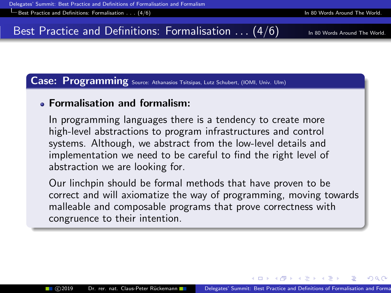$\Box$  Best Practice and Definitions: Formalisation . . . [\(4/6\) In 80 Words Around The World.](#page-9-0)

# Best Practice and Definitions: Formalisation  $\ldots$  (4/6) In 80 Words Around The World.

#### Case: Programming Source: Athanasios Tsitsipas, Lutz Schubert, (IOMI, Univ. Ulm)

#### Formalisation and formalism:

In programming languages there is a tendency to create more high-level abstractions to program infrastructures and control systems. Although, we abstract from the low-level details and implementation we need to be careful to find the right level of abstraction we are looking for.

Our linchpin should be formal methods that have proven to be correct and will axiomatize the way of programming, moving towards malleable and composable programs that prove correctness with congruence to their intention.

<span id="page-9-0"></span>**A BAYA BA**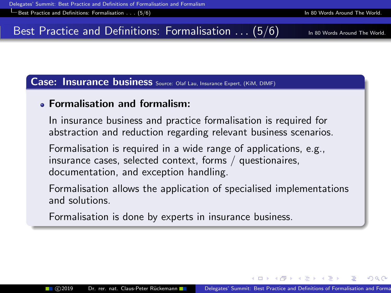Example 30 Vords Around The World Best Practice and Definitions: Formalisation . . . [\(5/6\) In 80 Words Around The World.](#page-10-0)

# Best Practice and Definitions: Formalisation  $\ldots$  (5/6) In 80 Words Around The World.

#### Case: Insurance business Source: Olaf Lau, Insurance Expert, (KiM, DIMF)

### Formalisation and formalism:

In insurance business and practice formalisation is required for abstraction and reduction regarding relevant business scenarios.

Formalisation is required in a wide range of applications, e.g., insurance cases, selected context, forms / questionaires, documentation, and exception handling.

Formalisation allows the application of specialised implementations and solutions.

Formalisation is done by experts in insurance business.

<span id="page-10-0"></span>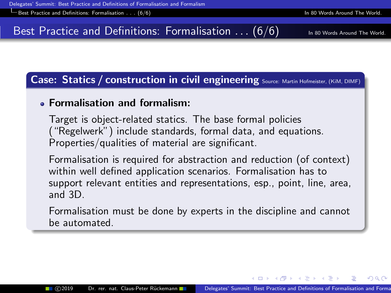Example 30 Vords Around The World Best Practice and Definitions: Formalisation . . . [\(6/6\) In 80 Words Around The World.](#page-11-0)

# Best Practice and Definitions: Formalisation  $\ldots$  (6/6)  $\overline{a}$  in 80 Words Around The World

Case: Statics / construction in civil engineering Source: Martin Hofmeister, (KiM, DIMF)

## Formalisation and formalism:

Target is object-related statics. The base formal policies ("Regelwerk") include standards, formal data, and equations. Properties/qualities of material are significant.

Formalisation is required for abstraction and reduction (of context) within well defined application scenarios. Formalisation has to support relevant entities and representations, esp., point, line, area, and 3D.

Formalisation must be done by experts in the discipline and cannot be automated.

<span id="page-11-0"></span>- 4 重 ≯ - 4 重 ≯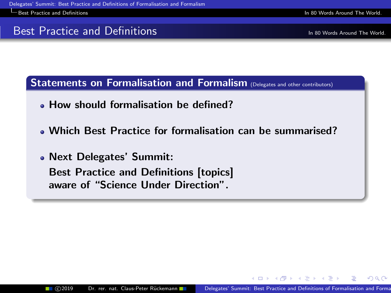Best Practice and Definitions [In 80 Words Around The World.](#page-12-0)

# Best Practice and Definitions **In 80 World. Around The World.**

<span id="page-12-0"></span> $QQ$ 

Statements on Formalisation and Formalism (Delegates and other contributors)

- How should formalisation be defined?
- Which Best Practice for formalisation can be summarised?

Next Delegates' Summit: Best Practice and Definitions [topics] aware of "Science Under Direction".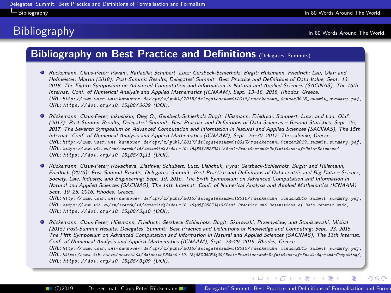#### Bibliography [In 80 Words Around The World.](#page-13-0)

# **Bibliography In 80 Words Around The World.**

<span id="page-13-0"></span> $QQ$ 

## Bibliography on Best Practice and Definitions (Delegates' Summits)

- Rückemann, Claus-Peter; Pavani, Raffaella; Schubert, Lutz; Gersbeck-Schierholz, Birgit; Hülsmann, Friedrich; Lau, Olaf; and Hofmeister, Martin (2018): Post-Summit Results, Delegates' Summit: Best Practice and Definitions of Data Value; Sept. 13, 2018, The Eighth Symposium on Advanced Computation and Information in Natural and Applied Sciences (SACINAS), The 16th Internat. Conf. of Numerical Analysis and Applied Mathematics (ICNAAM), Sept. 13–18, 2018, Rhodos, Greece. URL: [http: // www. user. uni-hannover. de/ cpr/ x/ publ/ 2018/ delegatessummit2018/ rueckemann\\_ icnaam2018\\_ summit\\_ summary. pdf](http://www.user.uni-hannover.de/cpr/x/publ/2018/delegatessummit2018/rueckemann_icnaam2018_summit_summary.pdf) , URL: [https: // doi. org/ 10. 15488/ 3639](https://doi.org/10.15488/3639) (DOI).
- Rückemann, Claus-Peter; Iakushkin, Oleg O.; Gersbeck-Schierholz Birgit; Hülsmann, Friedrich; Schubert, Lutz; and Lau, Olaf (2017): Post-Summit Results, Delegates' Summit: Best Practice and Definitions of Data Sciences – Beyond Statistics; Sept. 25, 2017, The Seventh Symposium on Advanced Computation and Information in Natural and Applied Sciences (SACINAS), The 15th Internat. Conf. of Numerical Analysis and Applied Mathematics (ICNAAM), Sept. 25–30, 2017, Thessaloniki, Greece. URL: [http: // www. user. uni-hannover. de/ cpr/ x/ publ/ 2017/ delegatessummit2017/ rueckemann\\_ icnaam2017\\_ summit\\_ summary. pdf](http://www.user.uni-hannover.de/cpr/x/publ/2017/delegatessummit2017/rueckemann_icnaam2017_summit_summary.pdf) , URL: https: // www. tib. eu/ en/ search/ id/ datacite% 3Adoi ~ [10. 15488% 252F3411/ Best-Practice-and-Definitions-of-Data-Sciences/](https://www.tib.eu/en/search/id/datacite%3Adoi~10.15488%252F3411/Best-Practice-and-Definitions-of-Data-Sciences/) , URL: [https: // doi. org/ 10. 15488/ 3411](https://doi.org/10.15488/3411) (DOI).
- Rückemann, Claus-Peter; Kovacheva, Zlatinka; Schubert, Lutz; Lishchuk, Irvna; Gersbeck-Schierholz, Birgit; and Hülsmann, Friedrich (2016): Post-Summit Results, Delegates' Summit: Best Practice and Definitions of Data-centric and Big Data – Science, Society, Law, Industry, and Engineering; Sept. 19, 2016, The Sixth Symposium on Advanced Computation and Information in Natural and Applied Sciences (SACINAS), The 14th Internat. Conf. of Numerical Analysis and Applied Mathematics (ICNAAM), Sept. 19–25, 2016, Rhodes, Greece.

URL: [http: // www. user. uni-hannover. de/ cpr/ x/ publ/ 2016/ delegatessummit2016/ rueckemann\\_ icnaam2016\\_ summit\\_ summary. pdf](http://www.user.uni-hannover.de/cpr/x/publ/2016/delegatessummit2016/rueckemann_icnaam2016_summit_summary.pdf) , URL: https: // www. tib. eu/ en/ search/ id/ datacite% 3Adoi ~ [10. 15488% 252F3410/ Best-Practice-and-Definitions-of-Data-centric-and/](https://www.tib.eu/en/search/id/datacite%3Adoi~10.15488%252F3410/Best-Practice-and-Definitions-of-Data-centric-and/) , URL: [https: // doi. org/ 10. 15488/ 3410](https://doi.org/10.15488/3410) (DOI).

● Rückemann, Claus-Peter; Hülsmann, Friedrich; Gersbeck-Schierholz, Birgit; Skurowski, Przemyslaw; and Staniszewski, Michal (2015) Post-Summit Results, Delegates' Summit: Best Practice and Definitions of Knowledge and Computing; Sept. 23, 2015, The Fifth Symposium on Advanced Computation and Information in Natural and Applied Sciences (SACINAS), The 13th Internat. Conf. of Numerical Analysis and Applied Mathematics (ICNAAM), Sept. 23–29, 2015, Rhodes, Greece. URL: [http: // www. user. uni-hannover. de/ cpr/ x/ publ/ 2015/ delegatessummit2015/ rueckemann\\_ icnaam2015\\_ summit\\_ summary. pdf](http://www.user.uni-hannover.de/cpr/x/publ/2015/delegatessummit2015/rueckemann_icnaam2015_summit_summary.pdf) , URL: https: // www. tib. eu/ en/ search/ id/ datacite% 3Adoi ~ [10. 15488% 252F3409/ Best-Practice-and-Defnitions-of-Knowledge-and-Computing/](https://www.tib.eu/en/search/id/datacite%3Adoi~10.15488%252F3409/Best-Practice-and-Defnitions-of-Knowledge-and-Computing/) , URL: [https: // doi. org/ 10. 15488/ 3409](https://doi.org/10.15488/3409) (DOI).

4 0 8 → 母→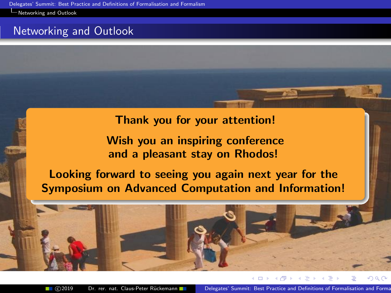**[Networking and Outlook](#page-14-0)** 

# Networking and Outlook

### Thank you for your attention!

# <span id="page-14-0"></span>Wish you an inspiring conference and a pleasant stay on Rhodos!

# Looking forward to seeing you again next year for the Symposium on Advanced Computation and Information!



■ ©2019 Dr. rer. nat. Claus-Peter Rückemann Delegates' Summit: Best Practice and Definitions of Formalisation and Forma